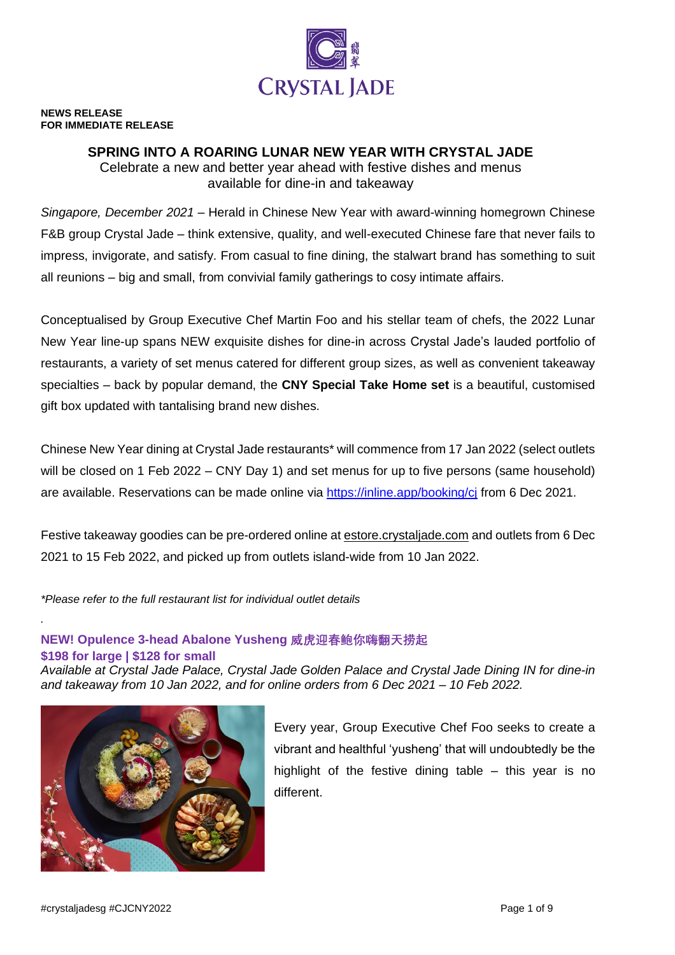

#### **NEWS RELEASE FOR IMMEDIATE RELEASE**

# **SPRING INTO A ROARING LUNAR NEW YEAR WITH CRYSTAL JADE**

Celebrate a new and better year ahead with festive dishes and menus available for dine-in and takeaway

*Singapore, December 2021* – Herald in Chinese New Year with award-winning homegrown Chinese F&B group Crystal Jade – think extensive, quality, and well-executed Chinese fare that never fails to impress, invigorate, and satisfy. From casual to fine dining, the stalwart brand has something to suit all reunions – big and small, from convivial family gatherings to cosy intimate affairs.

Conceptualised by Group Executive Chef Martin Foo and his stellar team of chefs, the 2022 Lunar New Year line-up spans NEW exquisite dishes for dine-in across Crystal Jade's lauded portfolio of restaurants, a variety of set menus catered for different group sizes, as well as convenient takeaway specialties – back by popular demand, the **CNY Special Take Home set** is a beautiful, customised gift box updated with tantalising brand new dishes.

Chinese New Year dining at Crystal Jade restaurants\* will commence from 17 Jan 2022 (select outlets will be closed on 1 Feb 2022 – CNY Day 1) and set menus for up to five persons (same household) are available. Reservations can be made online via<https://inline.app/booking/cj> from 6 Dec 2021.

Festive takeaway goodies can be pre-ordered online at **estore.crystalgade.com** and outlets from 6 Dec 2021 to 15 Feb 2022, and picked up from outlets island-wide from 10 Jan 2022.

*\*Please refer to the full restaurant list for individual outlet details*

# **NEW! Opulence 3-head Abalone Yusheng 威虎迎春鲍你嗨翻天捞起**

**\$198 for large | \$128 for small**

*.*

*Available at Crystal Jade Palace, Crystal Jade Golden Palace and Crystal Jade Dining IN for dine-in and takeaway from 10 Jan 2022, and for online orders from 6 Dec 2021 – 10 Feb 2022.*



Every year, Group Executive Chef Foo seeks to create a vibrant and healthful 'yusheng' that will undoubtedly be the highlight of the festive dining table  $-$  this year is no different.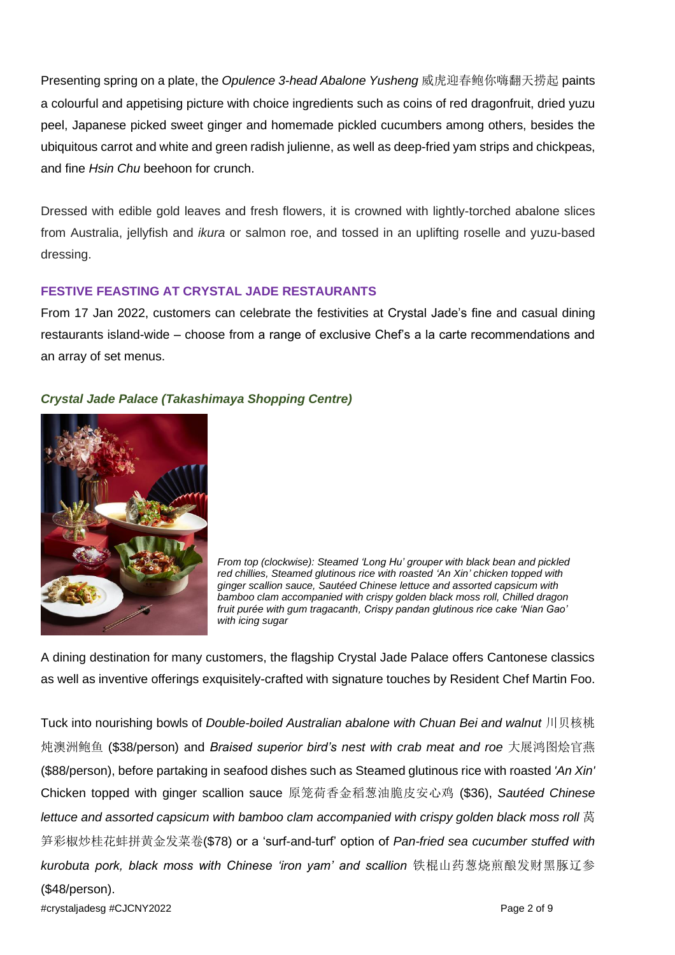Presenting spring on a plate, the *Opulence 3-head Abalone Yusheng* 威虎迎春鲍你嗨翻天捞起 paints a colourful and appetising picture with choice ingredients such as coins of red dragonfruit, dried yuzu peel, Japanese picked sweet ginger and homemade pickled cucumbers among others, besides the ubiquitous carrot and white and green radish julienne, as well as deep-fried yam strips and chickpeas, and fine *Hsin Chu* beehoon for crunch.

Dressed with edible gold leaves and fresh flowers, it is crowned with lightly-torched abalone slices from Australia, jellyfish and *ikura* or salmon roe, and tossed in an uplifting roselle and yuzu-based dressing.

### **FESTIVE FEASTING AT CRYSTAL JADE RESTAURANTS**

From 17 Jan 2022, customers can celebrate the festivities at Crystal Jade's fine and casual dining restaurants island-wide – choose from a range of exclusive Chef's a la carte recommendations and an array of set menus.

### *Crystal Jade Palace (Takashimaya Shopping Centre)*



*From top (clockwise): Steamed 'Long Hu' grouper with black bean and pickled red chillies, Steamed glutinous rice with roasted 'An Xin' chicken topped with ginger scallion sauce, Sautéed Chinese lettuce and assorted capsicum with bamboo clam accompanied with crispy golden black moss roll, Chilled dragon fruit purée with gum tragacanth, Crispy pandan glutinous rice cake 'Nian Gao' with icing sugar*

A dining destination for many customers, the flagship Crystal Jade Palace offers Cantonese classics as well as inventive offerings exquisitely-crafted with signature touches by Resident Chef Martin Foo.

#crystaljadesg #CJCNY2022 Page 2 of 9 Tuck into nourishing bowls of *Double-boiled Australian abalone with Chuan Bei and walnut* 川贝核桃 炖澳洲鲍鱼 (\$38/person) and *Braised superior bird's nest with crab meat and roe* 大展鸿图烩官燕 (\$88/person), before partaking in seafood dishes such as Steamed glutinous rice with roasted *'An Xin'*  Chicken topped with ginger scallion sauce 原笼荷香金稻葱油脆皮安心鸡 (\$36), *Sautéed Chinese lettuce and assorted capsicum with bamboo clam accompanied with crispy golden black moss roll* 莴 笋彩椒炒桂花蚌拼黄金发菜卷(\$78) or a 'surf-and-turf' option of *Pan-fried sea cucumber stuffed with kurobuta pork, black moss with Chinese 'iron yam' and scallion* 铁棍山药葱烧煎酿发财黑䐁辽参 (\$48/person).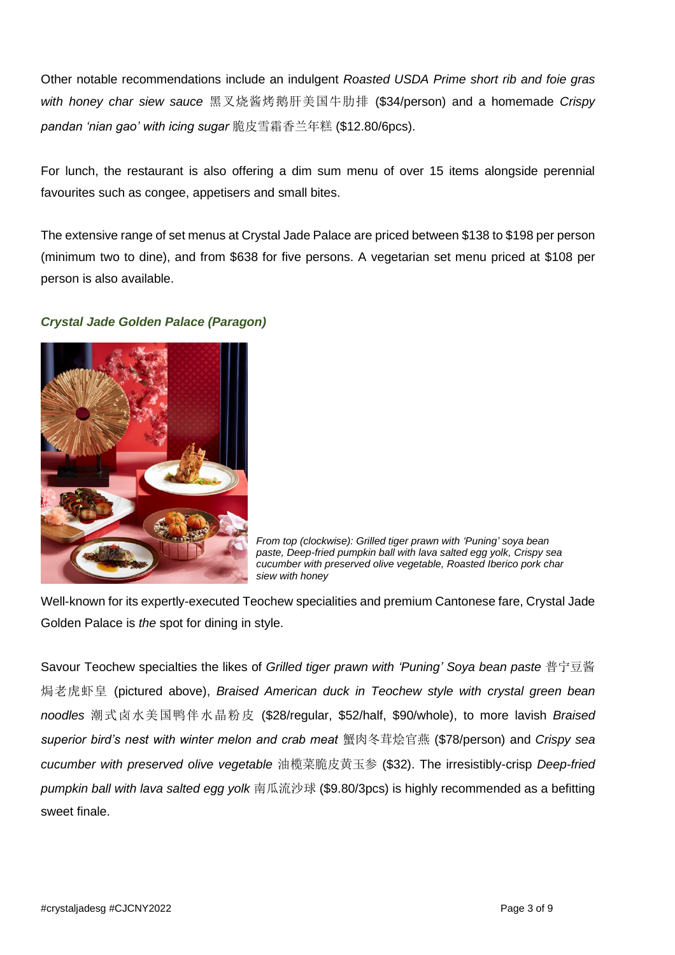Other notable recommendations include an indulgent *Roasted USDA Prime short rib and foie gras with honey char siew sauce* 黑叉烧酱烤鹅肝美国牛肋排 (\$34/person) and a homemade *Crispy pandan 'nian gao' with icing sugar* 脆皮雪霜香兰年糕 (\$12.80/6pcs).

For lunch, the restaurant is also offering a dim sum menu of over 15 items alongside perennial favourites such as congee, appetisers and small bites.

The extensive range of set menus at Crystal Jade Palace are priced between \$138 to \$198 per person (minimum two to dine), and from \$638 for five persons. A vegetarian set menu priced at \$108 per person is also available.

# *Crystal Jade Golden Palace (Paragon)*



*From top (clockwise): Grilled tiger prawn with 'Puning' soya bean paste, Deep-fried pumpkin ball with lava salted egg yolk, Crispy sea cucumber with preserved olive vegetable, Roasted Iberico pork char siew with honey*

Well-known for its expertly-executed Teochew specialities and premium Cantonese fare, Crystal Jade Golden Palace is *the* spot for dining in style.

Savour Teochew specialties the likes of *Grilled tiger prawn with 'Puning' Soya bean paste* 普宁豆酱 焗老虎虾皇 (pictured above), *Braised American duck in Teochew style with crystal green bean noodles* 潮式卤水美国鸭伴水晶粉皮 (\$28/regular, \$52/half, \$90/whole), to more lavish *Braised superior bird's nest with winter melon and crab meat* 蟹肉冬茸烩官燕 (\$78/person) and *Crispy sea cucumber with preserved olive vegetable* 油榄菜脆皮黄玉参 (\$32). The irresistibly-crisp *Deep-fried pumpkin ball with lava salted egg yolk* 南瓜流沙球 (\$9.80/3pcs) is highly recommended as a befitting sweet finale.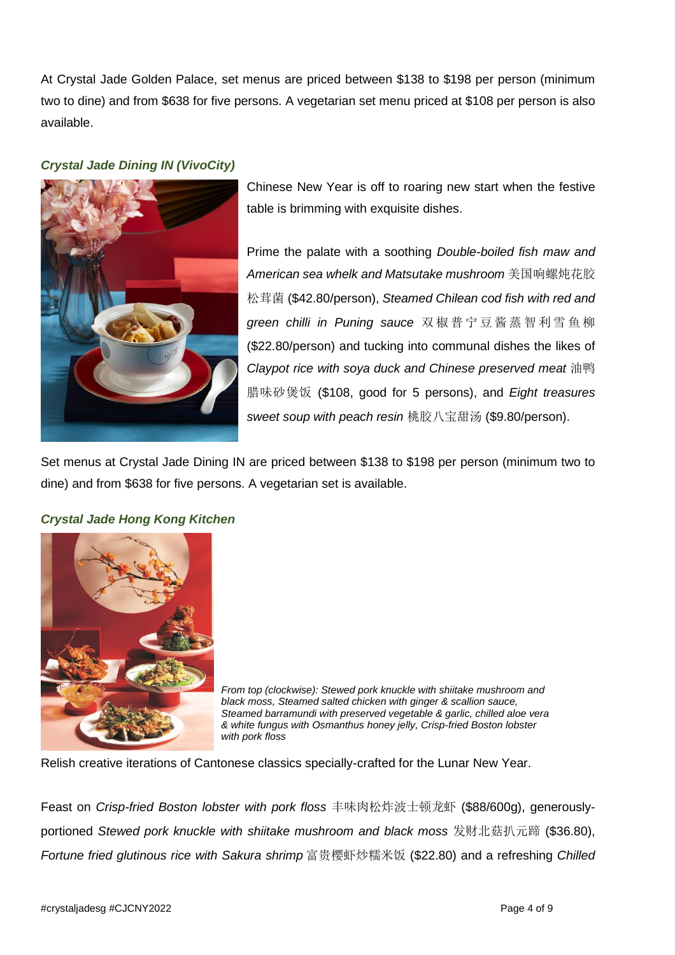At Crystal Jade Golden Palace, set menus are priced between \$138 to \$198 per person (minimum two to dine) and from \$638 for five persons. A vegetarian set menu priced at \$108 per person is also available.

### *Crystal Jade Dining IN (VivoCity)*



Chinese New Year is off to roaring new start when the festive table is brimming with exquisite dishes.

Prime the palate with a soothing *Double-boiled fish maw and American sea whelk and Matsutake mushroom* 美国响螺炖花胶 松茸菌 (\$42.80/person), *Steamed Chilean cod fish with red and green chilli in Puning sauce* 双 椒 普宁 豆 酱蒸 智 利 雪 鱼 柳 (\$22.80/person) and tucking into communal dishes the likes of *Claypot rice with soya duck and Chinese preserved meat* 油鸭 腊味砂煲饭 (\$108, good for 5 persons), and *Eight treasures sweet soup with peach resin* 桃胶八宝甜汤 (\$9.80/person).

Set menus at Crystal Jade Dining IN are priced between \$138 to \$198 per person (minimum two to dine) and from \$638 for five persons. A vegetarian set is available.

# *Crystal Jade Hong Kong Kitchen*



*From top (clockwise): Stewed pork knuckle with shiitake mushroom and black moss, Steamed salted chicken with ginger & scallion sauce, Steamed barramundi with preserved vegetable & garlic, chilled aloe vera & white fungus with Osmanthus honey jelly, Crisp-fried Boston lobster with pork floss*

Relish creative iterations of Cantonese classics specially-crafted for the Lunar New Year.

Feast on *Crisp-fried Boston lobster with pork floss* 丰味肉松炸波士顿龙虾 (\$88/600g), generouslyportioned *Stewed pork knuckle with shiitake mushroom and black moss* 发财北菇扒元蹄 (\$36.80), *Fortune fried glutinous rice with Sakura shrimp* 富贵樱虾炒糯米饭 (\$22.80) and a refreshing *Chilled*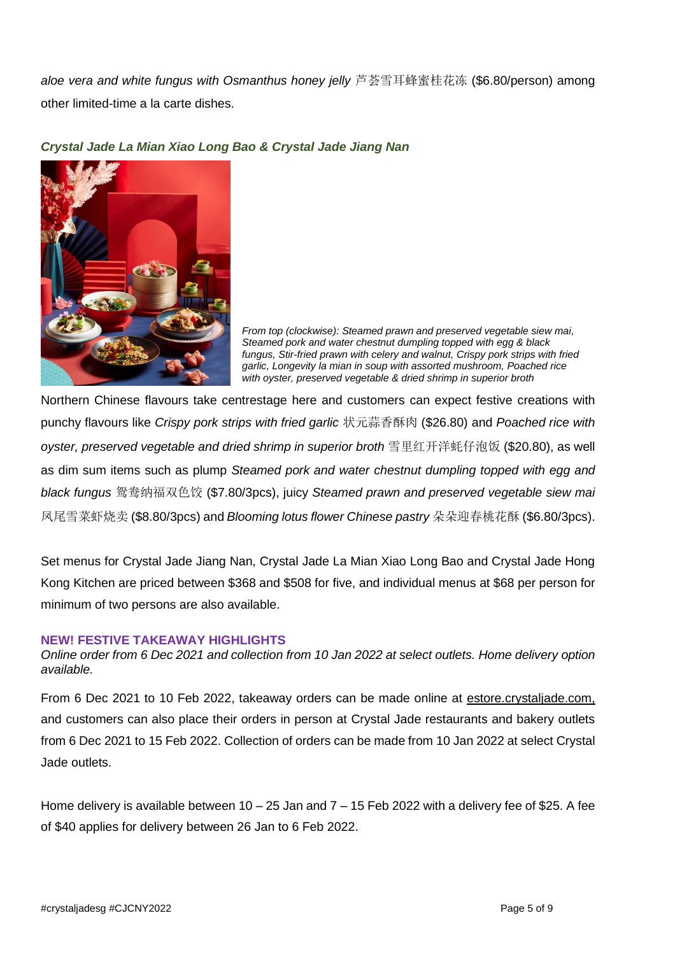*aloe vera and white fungus with Osmanthus honey jelly* 芦荟雪耳蜂蜜桂花冻 (\$6.80/person) among other limited-time a la carte dishes.



### *Crystal Jade La Mian Xiao Long Bao & Crystal Jade Jiang Nan*

*From top (clockwise): Steamed prawn and preserved vegetable siew mai, Steamed pork and water chestnut dumpling topped with egg & black fungus, Stir-fried prawn with celery and walnut, Crispy pork strips with fried garlic, Longevity la mian in soup with assorted mushroom, Poached rice with oyster, preserved vegetable & dried shrimp in superior broth*

Northern Chinese flavours take centrestage here and customers can expect festive creations with punchy flavours like *Crispy pork strips with fried garlic* 状元蒜香酥肉 (\$26.80) and *Poached rice with oyster, preserved vegetable and dried shrimp in superior broth* 雪里红开洋蚝仔泡饭 (\$20.80), as well as dim sum items such as plump *Steamed pork and water chestnut dumpling topped with egg and black fungus* 鸳鸯纳福双色饺 (\$7.80/3pcs), juicy *Steamed prawn and preserved vegetable siew mai* 凤尾雪菜虾烧卖 (\$8.80/3pcs) and *Blooming lotus flower Chinese pastry* 朵朵迎春桃花酥 (\$6.80/3pcs).

Set menus for Crystal Jade Jiang Nan, Crystal Jade La Mian Xiao Long Bao and Crystal Jade Hong Kong Kitchen are priced between \$368 and \$508 for five, and individual menus at \$68 per person for minimum of two persons are also available.

#### **NEW! FESTIVE TAKEAWAY HIGHLIGHTS**

*Online order from 6 Dec 2021 and collection from 10 Jan 2022 at select outlets. Home delivery option available.*

From 6 Dec 2021 to 10 Feb 2022, takeaway orders can be made online at estore.crystaljade.com, and customers can also place their orders in person at Crystal Jade restaurants and bakery outlets from 6 Dec 2021 to 15 Feb 2022. Collection of orders can be made from 10 Jan 2022 at select Crystal Jade outlets.

Home delivery is available between  $10 - 25$  Jan and  $7 - 15$  Feb 2022 with a delivery fee of \$25. A fee of \$40 applies for delivery between 26 Jan to 6 Feb 2022.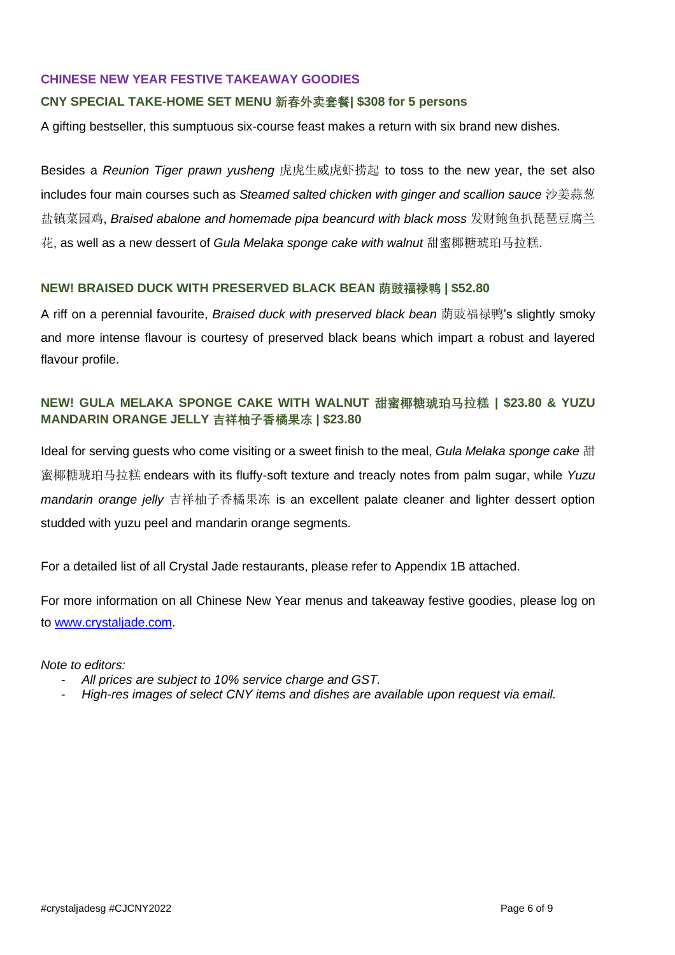#### **CHINESE NEW YEAR FESTIVE TAKEAWAY GOODIES**

### **CNY SPECIAL TAKE-HOME SET MENU 新春外卖套餐| \$308 for 5 persons**

A gifting bestseller, this sumptuous six-course feast makes a return with six brand new dishes.

Besides a *Reunion Tiger prawn yusheng* 虎虎生威虎虾捞起 to toss to the new year, the set also includes four main courses such as *Steamed salted chicken with ginger and scallion sauce* 沙姜蒜葱 盐镇菜园鸡, *Braised abalone and homemade pipa beancurd with black moss* 发财鲍鱼扒琵琶豆腐兰 花, as well as a new dessert of *Gula Melaka sponge cake with walnut* 甜蜜椰糖琥珀马拉糕.

### **NEW! BRAISED DUCK WITH PRESERVED BLACK BEAN 荫豉福禄鸭 | \$52.80**

A riff on a perennial favourite, *Braised duck with preserved black bean* 荫豉福禄鸭's slightly smoky and more intense flavour is courtesy of preserved black beans which impart a robust and layered flavour profile.

# **NEW! GULA MELAKA SPONGE CAKE WITH WALNUT 甜蜜椰糖琥珀马拉糕 | \$23.80 & YUZU MANDARIN ORANGE JELLY 吉祥柚子香橘果冻 | \$23.80**

Ideal for serving guests who come visiting or a sweet finish to the meal, *Gula Melaka sponge cake* 甜 蜜椰糖琥珀马拉糕 endears with its fluffy-soft texture and treacly notes from palm sugar, while *Yuzu mandarin orange jelly* 吉祥柚子香橘果冻 is an excellent palate cleaner and lighter dessert option studded with yuzu peel and mandarin orange segments.

For a detailed list of all Crystal Jade restaurants, please refer to Appendix 1B attached.

For more information on all Chinese New Year menus and takeaway festive goodies, please log on to [www.crystaljade.com.](http://www.crystaljade.com/)

*Note to editors:* 

- *All prices are subject to 10% service charge and GST.*
- *High-res images of select CNY items and dishes are available upon request via email.*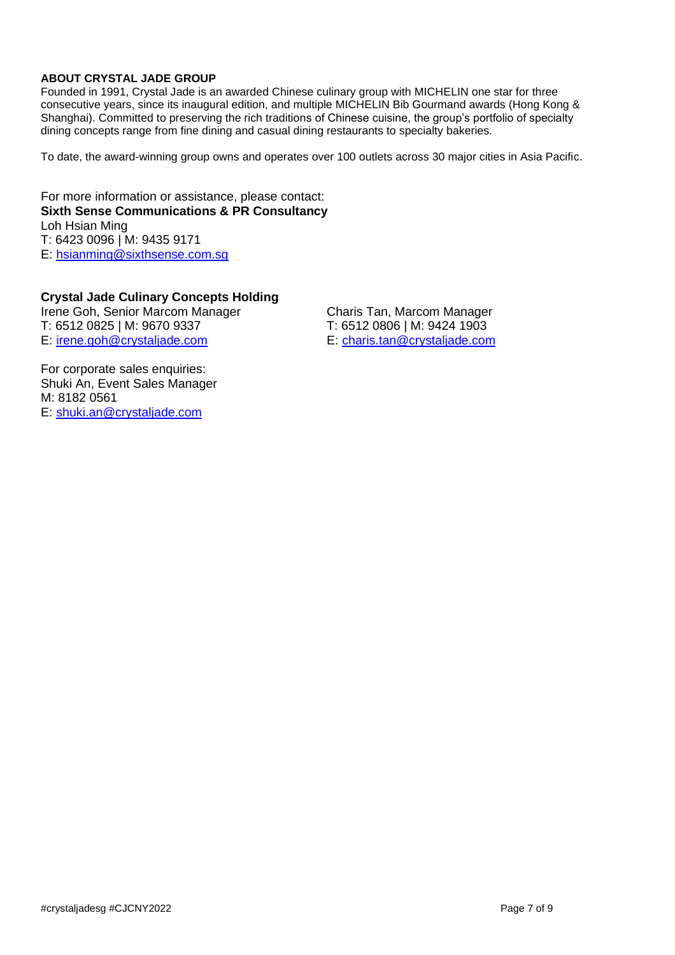### **ABOUT CRYSTAL JADE GROUP**

Founded in 1991, Crystal Jade is an awarded Chinese culinary group with MICHELIN one star for three consecutive years, since its inaugural edition, and multiple MICHELIN Bib Gourmand awards (Hong Kong & Shanghai). Committed to preserving the rich traditions of Chinese cuisine, the group's portfolio of specialty dining concepts range from fine dining and casual dining restaurants to specialty bakeries.

To date, the award-winning group owns and operates over 100 outlets across 30 major cities in Asia Pacific.

For more information or assistance, please contact: **Sixth Sense Communications & PR Consultancy** Loh Hsian Ming T: 6423 0096 | M: 9435 9171 E: [hsianming@sixthsense.com.sg](mailto:hsianming@sixthsense.com.sg)

**Crystal Jade Culinary Concepts Holding**  Irene Goh, Senior Marcom Manager Charis Tan, Marcom Manager<br>T: 6512 0825 | M: 9670 9337 T: 6512 0806 | M: 9424 1903 E: [irene.goh@crystaljade.com](mailto:irene.goh@crystaljade.com)

T: 6512 0806 | M: 9424 1903<br>E: charis.tan@crystaljade.com

For corporate sales enquiries: Shuki An, Event Sales Manager M: 8182 0561 E: [shuki.an@crystaljade.com](mailto:shuki.an@crystaljade.com)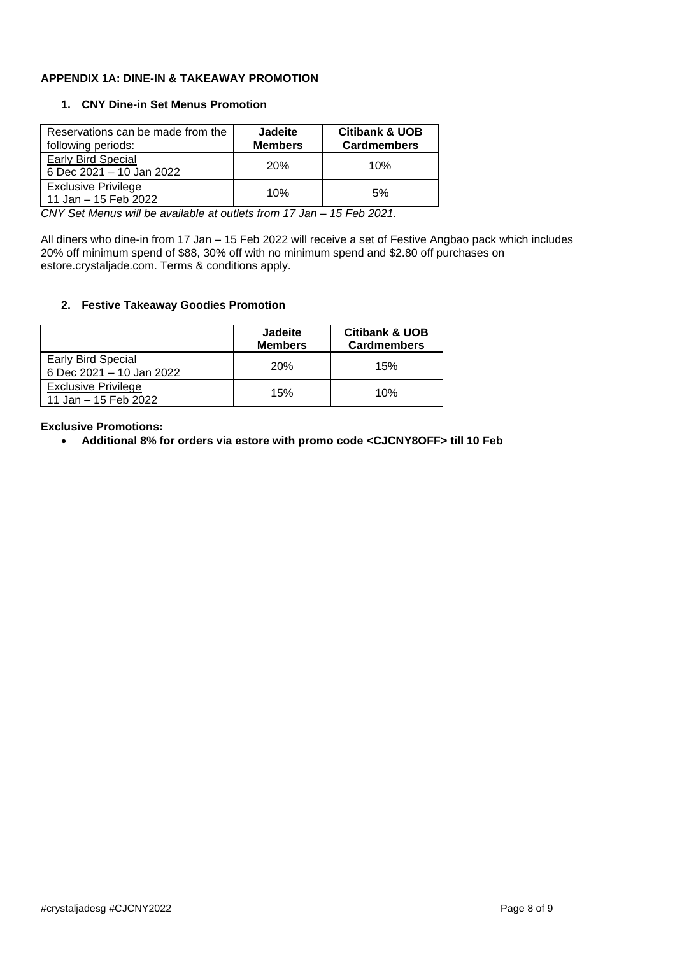#### **APPENDIX 1A: DINE-IN & TAKEAWAY PROMOTION**

#### **1. CNY Dine-in Set Menus Promotion**

| Reservations can be made from the<br>following periods: | <b>Jadeite</b><br><b>Members</b> | <b>Citibank &amp; UOB</b><br><b>Cardmembers</b> |
|---------------------------------------------------------|----------------------------------|-------------------------------------------------|
| <b>Early Bird Special</b><br>6 Dec 2021 - 10 Jan 2022   | <b>20%</b>                       | 10%                                             |
| <b>Exclusive Privilege</b><br>11 Jan - 15 Feb 2022      | 10%                              | 5%                                              |

*CNY Set Menus will be available at outlets from 17 Jan – 15 Feb 2021.* 

All diners who dine-in from 17 Jan – 15 Feb 2022 will receive a set of Festive Angbao pack which includes 20% off minimum spend of \$88, 30% off with no minimum spend and \$2.80 off purchases on estore.crystaljade.com. Terms & conditions apply.

#### **2. Festive Takeaway Goodies Promotion**

|                                                    | <b>Jadeite</b><br><b>Members</b> | <b>Citibank &amp; UOB</b><br><b>Cardmembers</b> |
|----------------------------------------------------|----------------------------------|-------------------------------------------------|
| Early Bird Special<br>6 Dec 2021 - 10 Jan 2022     | <b>20%</b>                       | 15%                                             |
| <b>Exclusive Privilege</b><br>11 Jan - 15 Feb 2022 | 15%                              | 10%                                             |

**Exclusive Promotions:** 

• **Additional 8% for orders via estore with promo code <CJCNY8OFF> till 10 Feb**